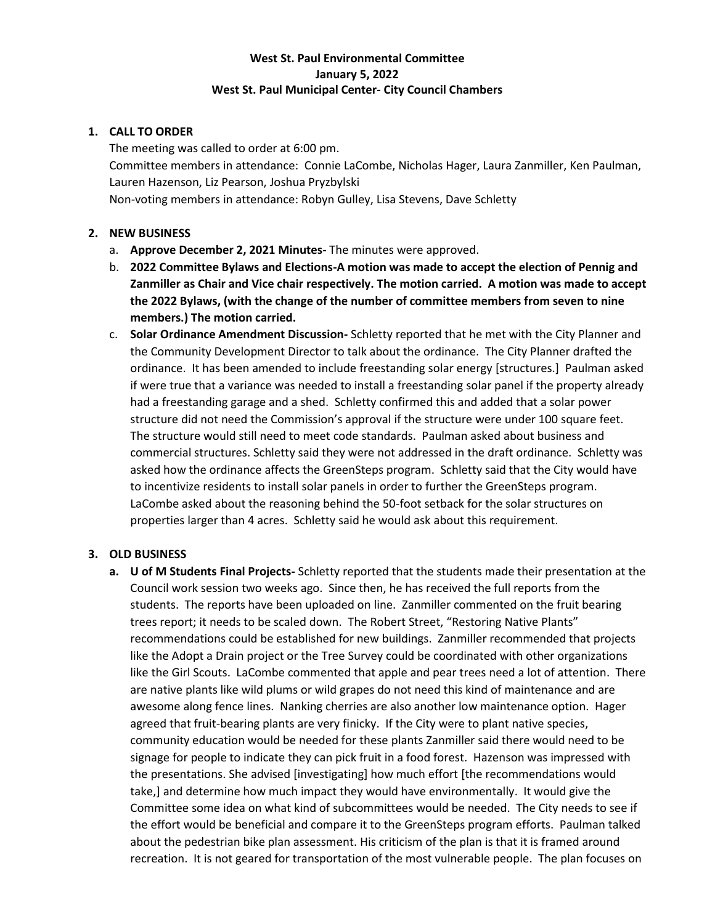# **West St. Paul Environmental Committee January 5, 2022 West St. Paul Municipal Center- City Council Chambers**

## **1. CALL TO ORDER**

The meeting was called to order at 6:00 pm. Committee members in attendance: Connie LaCombe, Nicholas Hager, Laura Zanmiller, Ken Paulman, Lauren Hazenson, Liz Pearson, Joshua Pryzbylski Non-voting members in attendance: Robyn Gulley, Lisa Stevens, Dave Schletty

## **2. NEW BUSINESS**

- a. **Approve December 2, 2021 Minutes-** The minutes were approved.
- b. **2022 Committee Bylaws and Elections-A motion was made to accept the election of Pennig and Zanmiller as Chair and Vice chair respectively. The motion carried. A motion was made to accept the 2022 Bylaws, (with the change of the number of committee members from seven to nine members.) The motion carried.**
- c. **Solar Ordinance Amendment Discussion-** Schletty reported that he met with the City Planner and the Community Development Director to talk about the ordinance. The City Planner drafted the ordinance. It has been amended to include freestanding solar energy [structures.] Paulman asked if were true that a variance was needed to install a freestanding solar panel if the property already had a freestanding garage and a shed. Schletty confirmed this and added that a solar power structure did not need the Commission's approval if the structure were under 100 square feet. The structure would still need to meet code standards. Paulman asked about business and commercial structures. Schletty said they were not addressed in the draft ordinance. Schletty was asked how the ordinance affects the GreenSteps program. Schletty said that the City would have to incentivize residents to install solar panels in order to further the GreenSteps program. LaCombe asked about the reasoning behind the 50-foot setback for the solar structures on properties larger than 4 acres. Schletty said he would ask about this requirement.

## **3. OLD BUSINESS**

**a. U of M Students Final Projects-** Schletty reported that the students made their presentation at the Council work session two weeks ago. Since then, he has received the full reports from the students. The reports have been uploaded on line. Zanmiller commented on the fruit bearing trees report; it needs to be scaled down. The Robert Street, "Restoring Native Plants" recommendations could be established for new buildings. Zanmiller recommended that projects like the Adopt a Drain project or the Tree Survey could be coordinated with other organizations like the Girl Scouts. LaCombe commented that apple and pear trees need a lot of attention. There are native plants like wild plums or wild grapes do not need this kind of maintenance and are awesome along fence lines. Nanking cherries are also another low maintenance option. Hager agreed that fruit-bearing plants are very finicky. If the City were to plant native species, community education would be needed for these plants Zanmiller said there would need to be signage for people to indicate they can pick fruit in a food forest. Hazenson was impressed with the presentations. She advised [investigating] how much effort [the recommendations would take,] and determine how much impact they would have environmentally. It would give the Committee some idea on what kind of subcommittees would be needed. The City needs to see if the effort would be beneficial and compare it to the GreenSteps program efforts. Paulman talked about the pedestrian bike plan assessment. His criticism of the plan is that it is framed around recreation. It is not geared for transportation of the most vulnerable people. The plan focuses on